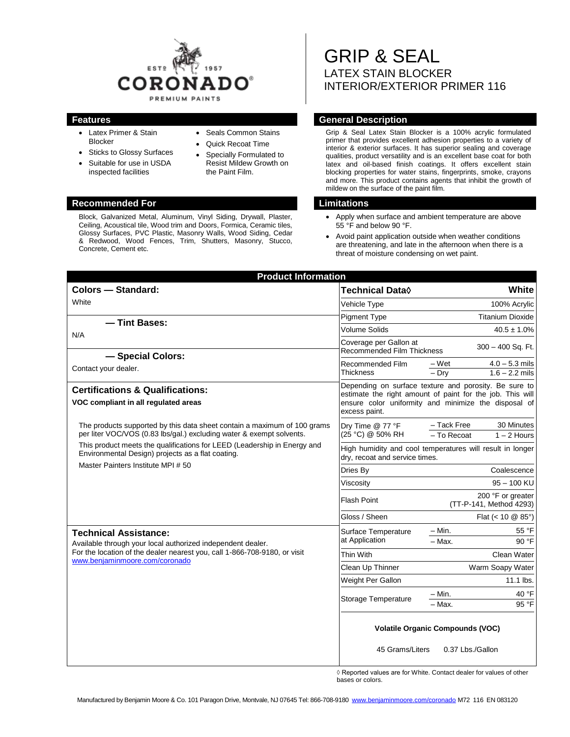

- Latex Primer & Stain Blocker
- Sticks to Glossy Surfaces
- Suitable for use in USDA inspected facilities
- Seals Common Stains
- Quick Recoat Time
- Specially Formulated to Resist Mildew Growth on the Paint Film.

#### **Recommended For Limitations**

Block, Galvanized Metal, Aluminum, Vinyl Siding, Drywall, Plaster, Ceiling, Acoustical tile, Wood trim and Doors, Formica, Ceramic tiles, Glossy Surfaces, PVC Plastic, Masonry Walls, Wood Siding, Cedar & Redwood, Wood Fences, Trim, Shutters, Masonry, Stucco, Concrete, Cement etc.

# GRIP & SEAL LATEX STAIN BLOCKER INTERIOR/EXTERIOR PRIMER 116

#### **Features General Description**

Grip & Seal Latex Stain Blocker is a 100% acrylic formulated primer that provides excellent adhesion properties to a variety of interior & exterior surfaces. It has superior sealing and coverage qualities, product versatility and is an excellent base coat for both latex and oil-based finish coatings. It offers excellent stain blocking properties for water stains, fingerprints, smoke, crayons and more. This product contains agents that inhibit the growth of mildew on the surface of the paint film.

- Apply when surface and ambient temperature are above 55 °F and below 90 °F.
- Avoid paint application outside when weather conditions are threatening, and late in the afternoon when there is a threat of moisture condensing on wet paint.

| <b>Product Information</b>                                                                                                                                                                                 |                                                                                                                                                                                             |
|------------------------------------------------------------------------------------------------------------------------------------------------------------------------------------------------------------|---------------------------------------------------------------------------------------------------------------------------------------------------------------------------------------------|
| <b>Colors - Standard:</b>                                                                                                                                                                                  | <b>Technical Data</b> ♦<br>White                                                                                                                                                            |
| White                                                                                                                                                                                                      | Vehicle Type<br>100% Acrylic                                                                                                                                                                |
| - Tint Bases:                                                                                                                                                                                              | <b>Pigment Type</b><br><b>Titanium Dioxide</b>                                                                                                                                              |
| N/A                                                                                                                                                                                                        | <b>Volume Solids</b><br>$40.5 \pm 1.0\%$                                                                                                                                                    |
|                                                                                                                                                                                                            | Coverage per Gallon at<br>300 - 400 Sq. Ft.<br><b>Recommended Film Thickness</b>                                                                                                            |
| - Special Colors:<br>Contact your dealer.                                                                                                                                                                  | Recommended Film<br>– Wet<br>$4.0 - 5.3$ mils<br>$1.6 - 2.2$ mils<br><b>Thickness</b><br>$-$ Drv                                                                                            |
| <b>Certifications &amp; Qualifications:</b><br>VOC compliant in all regulated areas                                                                                                                        | Depending on surface texture and porosity. Be sure to<br>estimate the right amount of paint for the job. This will<br>ensure color uniformity and minimize the disposal of<br>excess paint. |
| The products supported by this data sheet contain a maximum of 100 grams<br>per liter VOC/VOS (0.83 lbs/gal.) excluding water & exempt solvents.                                                           | - Tack Free<br>30 Minutes<br>Dry Time @ 77 °F<br>(25 °C) @ 50% RH<br>$-$ To Recoat<br>$1 - 2$ Hours                                                                                         |
| This product meets the qualifications for LEED (Leadership in Energy and<br>Environmental Design) projects as a flat coating.                                                                              | High humidity and cool temperatures will result in longer<br>dry, recoat and service times.                                                                                                 |
| Master Painters Institute MPI # 50                                                                                                                                                                         | Dries By<br>Coalescence                                                                                                                                                                     |
|                                                                                                                                                                                                            | $95 - 100$ KU<br>Viscositv                                                                                                                                                                  |
|                                                                                                                                                                                                            | 200 °F or greater<br><b>Flash Point</b><br>(TT-P-141, Method 4293)                                                                                                                          |
|                                                                                                                                                                                                            | Gloss / Sheen<br>Flat $(< 10 \text{ } @.85^{\circ})$                                                                                                                                        |
| <b>Technical Assistance:</b><br>Available through your local authorized independent dealer.<br>For the location of the dealer nearest you, call 1-866-708-9180, or visit<br>www.benjaminmoore.com/coronado | $-$ Min.<br>55 °F<br>Surface Temperature                                                                                                                                                    |
|                                                                                                                                                                                                            | at Application<br>90 °F<br>$-$ Max.                                                                                                                                                         |
|                                                                                                                                                                                                            | Thin With<br>Clean Water                                                                                                                                                                    |
|                                                                                                                                                                                                            | Clean Up Thinner<br>Warm Soapy Water                                                                                                                                                        |
|                                                                                                                                                                                                            | Weight Per Gallon<br>11.1 lbs.                                                                                                                                                              |
|                                                                                                                                                                                                            | $- Min.$<br>40 °F<br>Storage Temperature<br>- Max.<br>95 °F                                                                                                                                 |
|                                                                                                                                                                                                            | <b>Volatile Organic Compounds (VOC)</b>                                                                                                                                                     |
|                                                                                                                                                                                                            | 45 Grams/Liters<br>0.37 Lbs./Gallon                                                                                                                                                         |

◊ Reported values are for White. Contact dealer for values of other bases or colors.